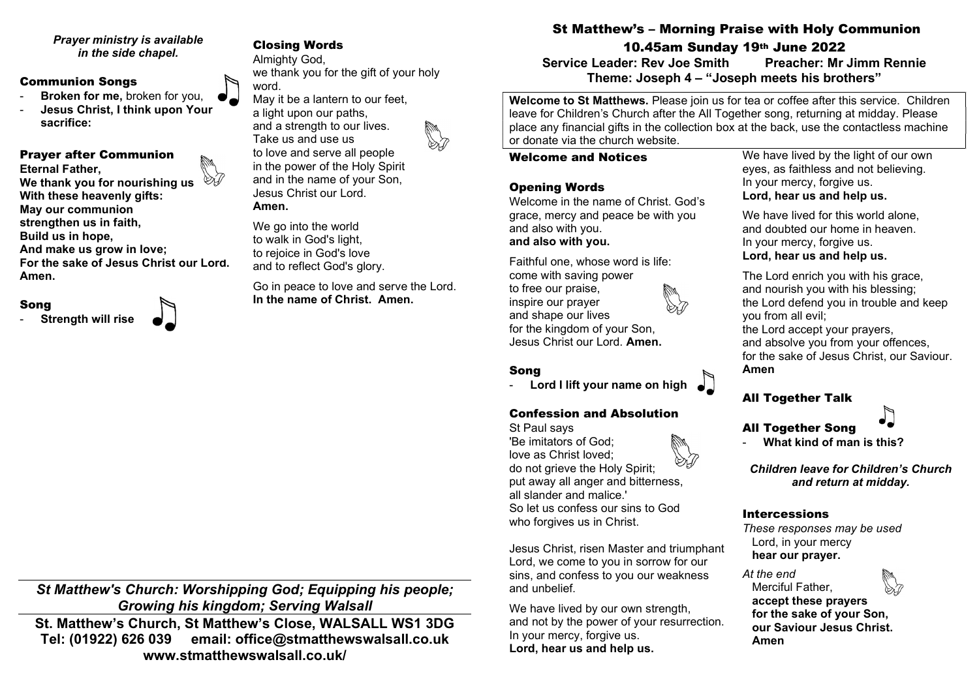#### Prayer ministry is available in the side chapel.

#### Communion Songs

- Broken for me, broken for you.
- Jesus Christ, I think upon Your sacrifice:

#### Prayer after Communion

Eternal Father, We thank you for nourishing us With these heavenly gifts: May our communion strengthen us in faith, Build us in hope,

And make us grow in love: For the sake of Jesus Christ our Lord. Amen.

## Song

**Strength will rise** 

# Closing Words

Almighty God, we thank you for the gift of your holy word.

May it be a lantern to our feet, a light upon our paths, and a strength to our lives. Take us and use us



to love and serve all people in the power of the Holy Spirit and in the name of your Son, Jesus Christ our Lord. Amen.

We go into the world to walk in God's light, to rejoice in God's love and to reflect God's glory.

Go in peace to love and serve the Lord. In the name of Christ. Amen.

St Matthew's Church: Worshipping God; Equipping his people; Growing his kingdom; Serving Walsall St. Matthew's Church, St Matthew's Close, WALSALL WS1 3DG Tel: (01922) 626 039 email: office@stmatthewswalsall.co.uk

www.stmatthewswalsall.co.uk/

# St Matthew's – Morning Praise with Holy Communion 10.45am Sunday 19th June 2022

Service Leader: Rev Joe Smith Preacher: Mr Jimm Rennie Theme: Joseph 4 – "Joseph meets his brothers"

Welcome to St Matthews. Please join us for tea or coffee after this service. Children leave for Children's Church after the All Together song, returning at midday. Please place any financial gifts in the collection box at the back, use the contactless machine or donate via the church website.

#### Welcome and Notices

## Opening Words

Welcome in the name of Christ. God's grace, mercy and peace be with you and also with you. and also with you.

Faithful one, whose word is life: come with saving power to free our praise, inspire our prayer and shape our lives for the kingdom of your Son, Jesus Christ our Lord. Amen.

# Song

Lord I lift your name on high

# Confession and Absolution

St Paul says 'Be imitators of God; love as Christ loved; do not grieve the Holy Spirit; put away all anger and bitterness, all slander and malice.' So let us confess our sins to God who forgives us in Christ.

Jesus Christ, risen Master and triumphant Lord, we come to you in sorrow for our sins, and confess to you our weakness and unbelief.

We have lived by our own strength. and not by the power of your resurrection. In your mercy, forgive us. Lord, hear us and help us.

We have lived by the light of our own eyes, as faithless and not believing. In your mercy, forgive us. Lord, hear us and help us.

We have lived for this world alone. and doubted our home in heaven. In your mercy, forgive us. Lord, hear us and help us.

The Lord enrich you with his grace, and nourish you with his blessing; the Lord defend you in trouble and keep you from all evil; the Lord accept your prayers, and absolve you from your offences, for the sake of Jesus Christ, our Saviour. Amen





What kind of man is this?

Children leave for Children's Church and return at midday.

## Intercessions

These responses may be used Lord, in your mercy hear our prayer.

At the end Merciful Father, accept these prayers for the sake of your Son, our Saviour Jesus Christ. Amen